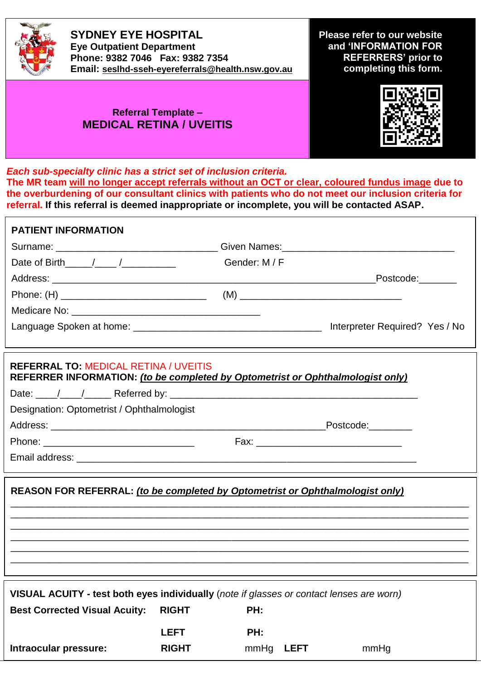

**SYDNEY EYE HOSPITAL Eye Outpatient Department Phone: 9382 7046 Fax: 9382 7354 Email: [seslhd-sseh-eyereferrals@health.nsw.gov.au](mailto:seslhd-sseh-eyereferrals@health.nsw.gov.au)** **Please refer to our website and 'INFORMATION FOR REFERRERS' prior to completing this form.**

## **Referral Template – MEDICAL RETINA / UVEITIS**



*Each sub-specialty clinic has a strict set of inclusion criteria.*  **The MR team will no longer accept referrals without an OCT or clear, coloured fundus image due to the overburdening of our consultant clinics with patients who do not meet our inclusion criteria for referral. If this referral is deemed inappropriate or incomplete, you will be contacted ASAP.**

| <b>PATIENT INFORMATION</b>                                                                                                     |              |               |             |           |  |
|--------------------------------------------------------------------------------------------------------------------------------|--------------|---------------|-------------|-----------|--|
| Surname: ___________________________________Given Names: _______________________                                               |              |               |             |           |  |
| Date of Birth $\frac{1}{\sqrt{2}}$                                                                                             |              | Gender: M / F |             |           |  |
|                                                                                                                                |              |               | Postcode:   |           |  |
|                                                                                                                                |              |               |             |           |  |
|                                                                                                                                |              |               |             |           |  |
|                                                                                                                                |              |               |             |           |  |
| <b>REFERRAL TO: MEDICAL RETINA / UVEITIS</b><br>REFERRER INFORMATION: (to be completed by Optometrist or Ophthalmologist only) |              |               |             |           |  |
|                                                                                                                                |              |               |             |           |  |
| Designation: Optometrist / Ophthalmologist                                                                                     |              |               |             |           |  |
|                                                                                                                                |              |               |             | Postcode: |  |
|                                                                                                                                |              |               |             |           |  |
|                                                                                                                                |              |               |             |           |  |
| REASON FOR REFERRAL: (to be completed by Optometrist or Ophthalmologist only)                                                  |              |               |             |           |  |
| VISUAL ACUITY - test both eyes individually (note if glasses or contact lenses are worn)                                       |              |               |             |           |  |
| <b>Best Corrected Visual Acuity:</b>                                                                                           | <b>RIGHT</b> | PH:           |             |           |  |
|                                                                                                                                | <b>LEFT</b>  | PH:           |             |           |  |
| Intraocular pressure:                                                                                                          | <b>RIGHT</b> | mmHg          | <b>LEFT</b> | mmHg      |  |